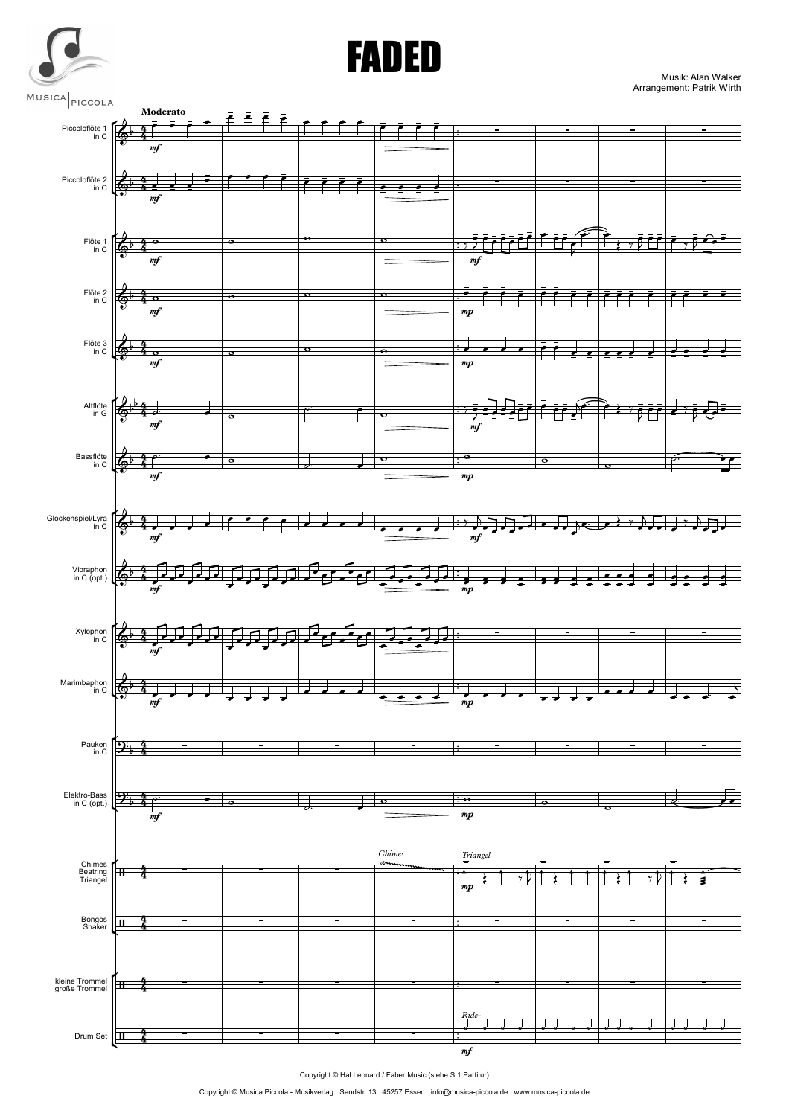





Copyright © Hal Leonard / Faber Music (siehe S.1 Partitur)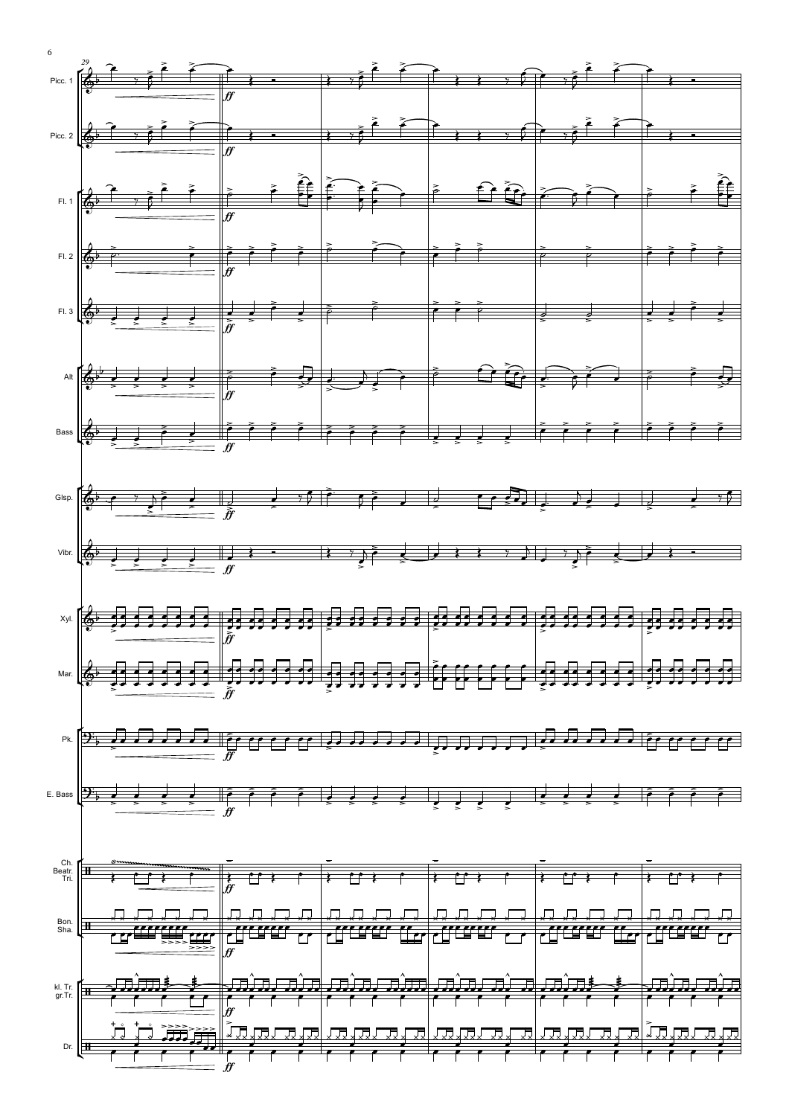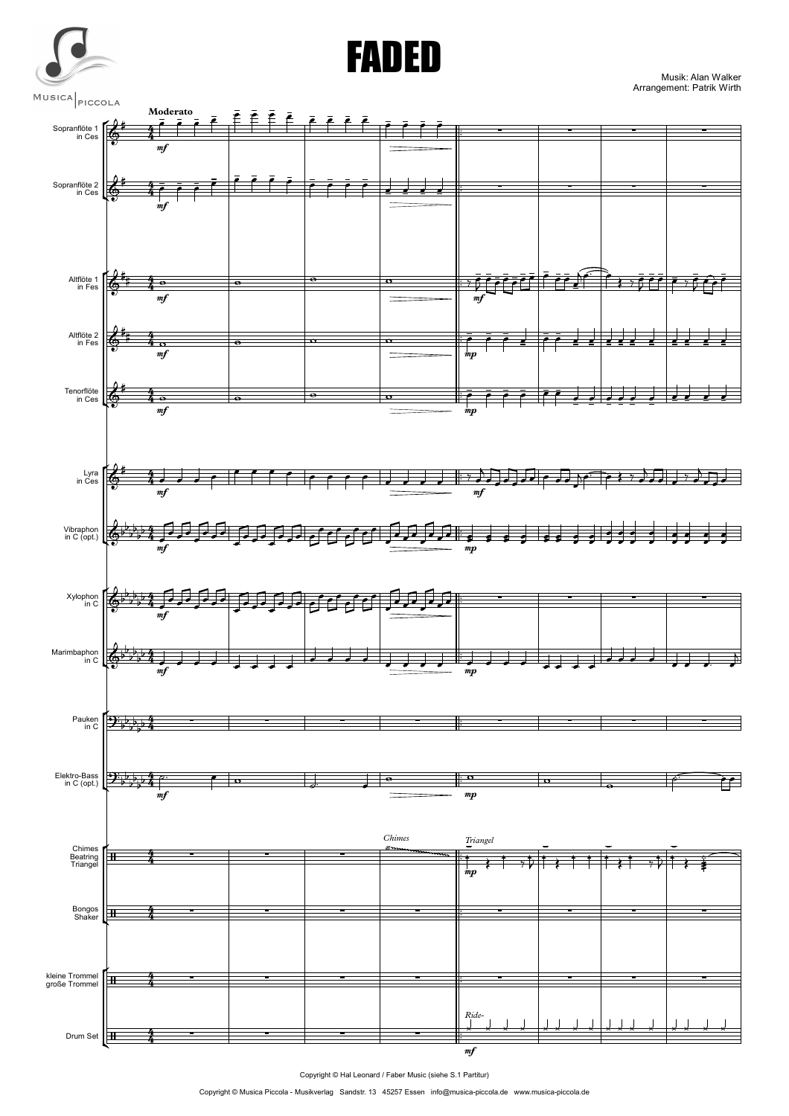





Copyright © Hal Leonard / Faber Music (siehe S.1 Partitur)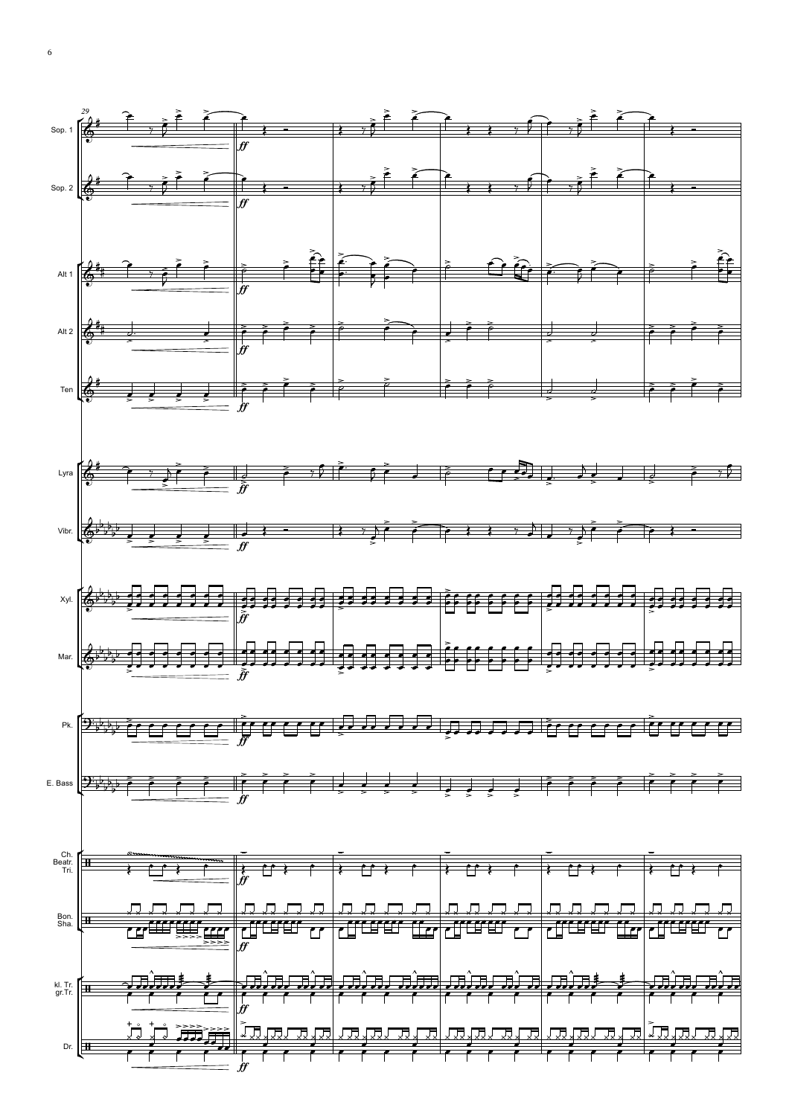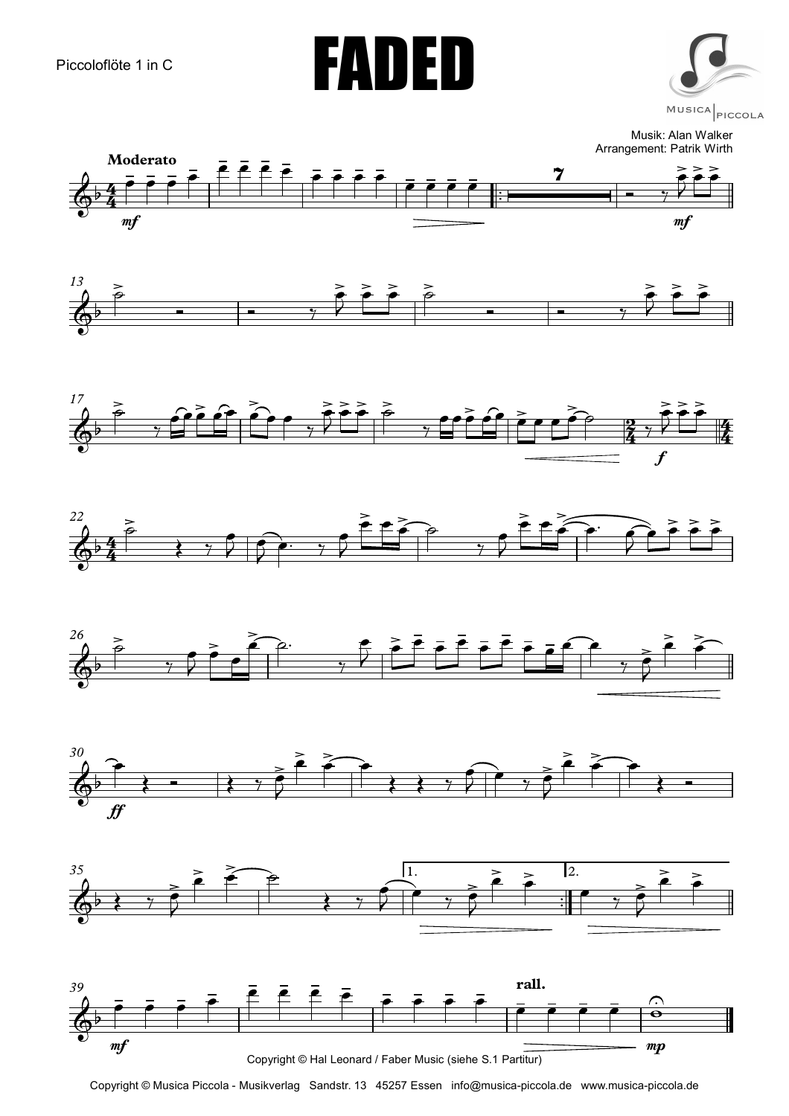



Musik: Alan Walker Arrangement: Patrik Wirth

















Copyright © Musica Piccola - Musikverlag Sandstr. 13 45257 Essen info@musica-piccola.de www.musica-piccola.de